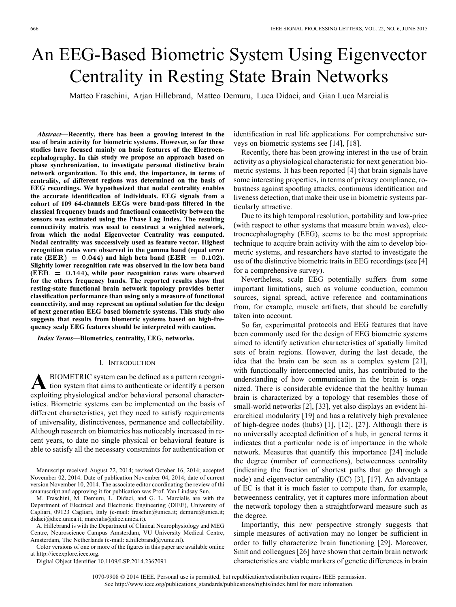# An EEG-Based Biometric System Using Eigenvector Centrality in Resting State Brain Networks

Matteo Fraschini, Arjan Hillebrand, Matteo Demuru, Luca Didaci, and Gian Luca Marcialis

*Abstract—***Recently, there has been a growing interest in the use of brain activity for biometric systems. However, so far these studies have focused mainly on basic features of the Electroencephalography. In this study we propose an approach based on phase synchronization, to investigate personal distinctive brain network organization. To this end, the importance, in terms of centrality, of different regions was determined on the basis of EEG recordings. We hypothesized that nodal centrality enables the accurate identification of individuals. EEG signals from a cohort of 109 64-channels EEGs were band-pass filtered in the classical frequency bands and functional connectivity between the sensors was estimated using the Phase Lag Index. The resulting connectivity matrix was used to construct a weighted network, from which the nodal Eigenvector Centrality was computed. Nodal centrality was successively used as feature vector. Highest recognition rates were observed in the gamma band (equal error**  $\text{rate (EER)} = 0.044$ ) and high beta band ( $\text{EER} = 0.102$ ). **Slightly lower recognition rate was observed in the low beta band**  $(EER = 0.144)$ , while poor recognition rates were observed **for the others frequency bands. The reported results show that resting-state functional brain network topology provides better classification performance than using only a measure of functional connectivity, and may represent an optimal solution for the design of next generation EEG based biometric systems. This study also suggests that results from biometric systems based on high-frequency scalp EEG features should be interpreted with caution.**

*Index Terms—***Biometrics, centrality, EEG, networks.**

## I. INTRODUCTION

**A**BIOMETRIC system can be defined as a pattern recognition system that aims to authenticate or identify a person exploiting physiological and/or behavioral personal characteristics. Biometric systems can be implemented on the basis of different characteristics, yet they need to satisfy requirements of universality, distinctiveness, permanence and collectability. Although research on biometrics has noticeably increased in recent years, to date no single physical or behavioral feature is able to satisfy all the necessary constraints for authentication or

Manuscript received August 22, 2014; revised October 16, 2014; accepted November 02, 2014. Date of publication November 04, 2014; date of current version November 10, 2014. The associate editor coordinating the review of thi smanuscript and approving it for publication was Prof. Yan Lindsay Sun.

M. Fraschini, M. Demuru, L. Didaci, and G. L. Marcialis are with the Department of Electrical and Electronic Engineering (DIEE), University of Cagliari, 09123 Cagliari, Italy (e-mail: fraschin@unica.it; demuru@unica.it; didaci@diee.unica.it; marcialis@diee.unica.it).

A. Hillebrand is with the Department of Clinical Neurophysiology and MEG Centre, Neuroscience Campus Amsterdam, VU University Medical Centre, Amsterdam, The Netherlands (e-mail: a.hillebrand@vumc.nl).

Color versions of one or more of the figures in this paper are available online at http://ieeexplore.ieee.org.

Digital Object Identifier 10.1109/LSP.2014.2367091

identification in real life applications. For comprehensive surveys on biometric systems see [14], [18].

Recently, there has been growing interest in the use of brain activity as a physiological characteristic for next generation biometric systems. It has been reported [4] that brain signals have some interesting properties, in terms of privacy compliance, robustness against spoofing attacks, continuous identification and liveness detection, that make their use in biometric systems particularly attractive.

Due to its high temporal resolution, portability and low-price (with respect to other systems that measure brain waves), electroencephalography (EEG), seems to be the most appropriate technique to acquire brain activity with the aim to develop biometric systems, and researchers have started to investigate the use of the distinctive biometric traits in EEG recordings (see [4] for a comprehensive survey).

Nevertheless, scalp EEG potentially suffers from some important limitations, such as volume conduction, common sources, signal spread, active reference and contaminations from, for example, muscle artifacts, that should be carefully taken into account.

So far, experimental protocols and EEG features that have been commonly used for the design of EEG biometric systems aimed to identify activation characteristics of spatially limited sets of brain regions. However, during the last decade, the idea that the brain can be seen as a complex system [21], with functionally interconnected units, has contributed to the understanding of how communication in the brain is organized. There is considerable evidence that the healthy human brain is characterized by a topology that resembles those of small-world networks [2], [33], yet also displays an evident hierarchical modularity [19] and has a relatively high prevalence of high-degree nodes (hubs) [1], [12], [27]. Although there is no universally accepted definition of a hub, in general terms it indicates that a particular node is of importance in the whole network. Measures that quantify this importance [24] include the degree (number of connections), betweenness centrality (indicating the fraction of shortest paths that go through a node) and eigenvector centrality (EC) [3], [17]. An advantage of EC is that it is much faster to compute than, for example, betweenness centrality, yet it captures more information about the network topology then a straightforward measure such as the degree.

Importantly, this new perspective strongly suggests that simple measures of activation may no longer be sufficient in order to fully characterize brain functioning [29]. Moreover, Smit and colleagues [26] have shown that certain brain network characteristics are viable markers of genetic differences in brain

1070-9908 © 2014 IEEE. Personal use is permitted, but republication/redistribution requires IEEE permission. See http://www.ieee.org/publications\_standards/publications/rights/index.html for more information.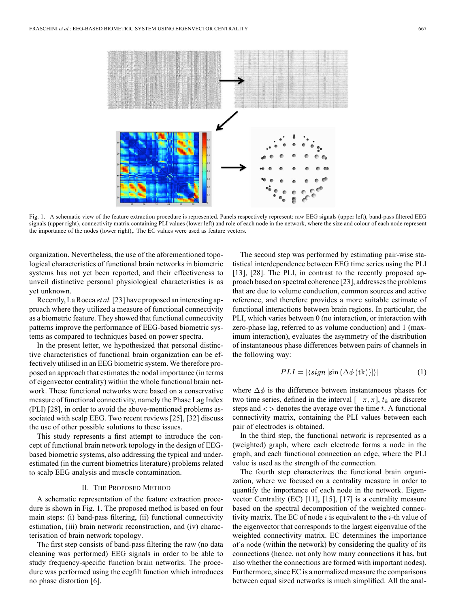

Fig. 1. A schematic view of the feature extraction procedure is represented. Panels respectively represent: raw EEG signals (upper left), band-pass filtered EEG signals (upper right), connectivity matrix containing PLI values (lower left) and role of each node in the network, where the size and colour of each node represent the importance of the nodes (lower right),. The EC values were used as feature vectors.

organization. Nevertheless, the use of the aforementioned topological characteristics of functional brain networks in biometric systems has not yet been reported, and their effectiveness to unveil distinctive personal physiological characteristics is as yet unknown.

Recently, La Rocca *et al.*[23] have proposed an interesting approach where they utilized a measure of functional connectivity as a biometric feature. They showed that functional connectivity patterns improve the performance of EEG-based biometric systems as compared to techniques based on power spectra.

In the present letter, we hypothesized that personal distinctive characteristics of functional brain organization can be effectively utilised in an EEG biometric system. We therefore proposed an approach that estimates the nodal importance (in terms of eigenvector centrality) within the whole functional brain network. These functional networks were based on a conservative measure of functional connectivity, namely the Phase Lag Index (PLI) [28], in order to avoid the above-mentioned problems associated with scalp EEG. Two recent reviews [25], [32] discuss the use of other possible solutions to these issues.

This study represents a first attempt to introduce the concept of functional brain network topology in the design of EEGbased biometric systems, also addressing the typical and underestimated (in the current biometrics literature) problems related to scalp EEG analysis and muscle contamination.

### II. THE PROPOSED METHOD

A schematic representation of the feature extraction procedure is shown in Fig. 1. The proposed method is based on four main steps: (i) band-pass filtering, (ii) functional connectivity estimation, (iii) brain network reconstruction, and (iv) characterisation of brain network topology.

The first step consists of band-pass filtering the raw (no data cleaning was performed) EEG signals in order to be able to study frequency-specific function brain networks. The procedure was performed using the eegfilt function which introduces no phase distortion [6].

The second step was performed by estimating pair-wise statistical interdependence between EEG time series using the PLI [13], [28]. The PLI, in contrast to the recently proposed approach based on spectral coherence [23], addresses the problems that are due to volume conduction, common sources and active reference, and therefore provides a more suitable estimate of functional interactions between brain regions. In particular, the PLI, which varies between 0 (no interaction, or interaction with zero-phase lag, referred to as volume conduction) and 1 (maximum interaction), evaluates the asymmetry of the distribution of instantaneous phase differences between pairs of channels in the following way:

$$
PLI = |\langle sign \left[ \sin \left( \Delta \phi \left( \text{tk} \right) \right) \right] \rangle| \tag{1}
$$

where  $\Delta \phi$  is the difference between instantaneous phases for two time series, defined in the interval  $[-\pi, \pi]$ ,  $t_k$  are discrete steps and  $\langle \rangle$  denotes the average over the time t. A functional connectivity matrix, containing the PLI values between each pair of electrodes is obtained.

In the third step, the functional network is represented as a (weighted) graph, where each electrode forms a node in the graph, and each functional connection an edge, where the PLI value is used as the strength of the connection.

The fourth step characterizes the functional brain organization, where we focused on a centrality measure in order to quantify the importance of each node in the network. Eigenvector Centrality (EC) [11], [15], [17] is a centrality measure based on the spectral decomposition of the weighted connectivity matrix. The EC of node  $i$  is equivalent to the  $i$ -th value of the eigenvector that corresponds to the largest eigenvalue of the weighted connectivity matrix. EC determines the importance of a node (within the network) by considering the quality of its connections (hence, not only how many connections it has, but also whether the connections are formed with important nodes). Furthermore, since EC is a normalized measure the comparisons between equal sized networks is much simplified. All the anal-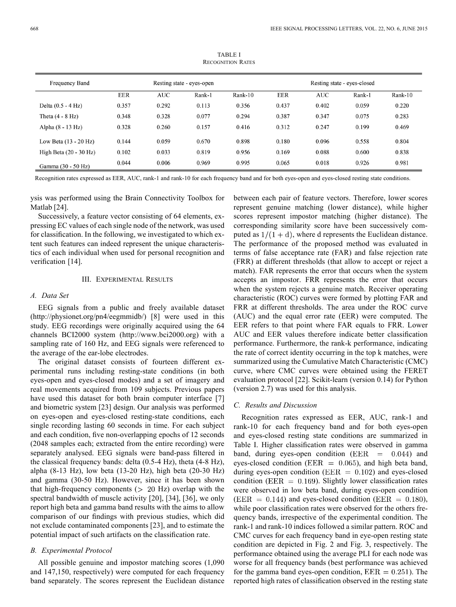| Frequency Band           | Resting state - eyes-open |            |        |         | Resting state - eyes-closed |            |        |           |
|--------------------------|---------------------------|------------|--------|---------|-----------------------------|------------|--------|-----------|
|                          | <b>EER</b>                | <b>AUC</b> | Rank-1 | Rank-10 | <b>EER</b>                  | <b>AUC</b> | Rank-1 | $Rank-10$ |
| Delta $(0.5 - 4 Hz)$     | 0.357                     | 0.292      | 0.113  | 0.356   | 0.437                       | 0.402      | 0.059  | 0.220     |
| Theta $(4 - 8 Hz)$       | 0.348                     | 0.328      | 0.077  | 0.294   | 0.387                       | 0.347      | 0.075  | 0.283     |
| Alpha (8 - 13 Hz)        | 0.328                     | 0.260      | 0.157  | 0.416   | 0.312                       | 0.247      | 0.199  | 0.469     |
| Low Beta $(13 - 20$ Hz)  | 0.144                     | 0.059      | 0.670  | 0.898   | 0.180                       | 0.096      | 0.558  | 0.804     |
| High Beta $(20 - 30$ Hz) | 0.102                     | 0.033      | 0.819  | 0.956   | 0.169                       | 0.088      | 0.600  | 0.838     |
| Gamma (30 - 50 Hz)       | 0.044                     | 0.006      | 0.969  | 0.995   | 0.065                       | 0.018      | 0.926  | 0.981     |

TABLE I RECOGNITION RATES

Recognition rates expressed as EER, AUC, rank-1 and rank-10 for each frequency band and for both eyes-open and eyes-closed resting state conditions.

ysis was performed using the Brain Connectivity Toolbox for Matlab [24].

Successively, a feature vector consisting of 64 elements, expressing EC values of each single node of the network, was used for classification. In the following, we investigated to which extent such features can indeed represent the unique characteristics of each individual when used for personal recognition and verification [14].

#### III. EXPERIMENTAL RESULTS

## *A. Data Set*

EEG signals from a public and freely available dataset (http://physionet.org/pn4/eegmmidb/) [8] were used in this study. EEG recordings were originally acquired using the 64 channels BCI2000 system (http://www.bci2000.org) with a sampling rate of 160 Hz, and EEG signals were referenced to the average of the ear-lobe electrodes.

The original dataset consists of fourteen different experimental runs including resting-state conditions (in both eyes-open and eyes-closed modes) and a set of imagery and real movements acquired from 109 subjects. Previous papers have used this dataset for both brain computer interface [7] and biometric system [23] design. Our analysis was performed on eyes-open and eyes-closed resting-state conditions, each single recording lasting 60 seconds in time. For each subject and each condition, five non-overlapping epochs of 12 seconds (2048 samples each; extracted from the entire recording) were separately analysed. EEG signals were band-pass filtered in the classical frequency bands: delta (0.5-4 Hz), theta (4-8 Hz), alpha (8-13 Hz), low beta (13-20 Hz), high beta (20-30 Hz) and gamma (30-50 Hz). However, since it has been shown that high-frequency components  $($   $>$  20 Hz) overlap with the spectral bandwidth of muscle activity [20], [34], [36], we only report high beta and gamma band results with the aims to allow comparison of our findings with previous studies, which did not exclude contaminated components [23], and to estimate the potential impact of such artifacts on the classification rate.

#### *B. Experimental Protocol*

All possible genuine and impostor matching scores (1,090 and 147,150, respectively) were computed for each frequency band separately. The scores represent the Euclidean distance between each pair of feature vectors. Therefore, lower scores represent genuine matching (lower distance), while higher scores represent impostor matching (higher distance). The corresponding similarity score have been successively computed as  $1/(1 + d)$ , where d represents the Euclidean distance. The performance of the proposed method was evaluated in terms of false acceptance rate (FAR) and false rejection rate (FRR) at different thresholds (that allow to accept or reject a match). FAR represents the error that occurs when the system accepts an impostor. FRR represents the error that occurs when the system rejects a genuine match. Receiver operating characteristic (ROC) curves were formed by plotting FAR and FRR at different thresholds. The area under the ROC curve (AUC) and the equal error rate (EER) were computed. The EER refers to that point where FAR equals to FRR. Lower AUC and EER values therefore indicate better classification performance. Furthermore, the rank-k performance, indicating the rate of correct identity occurring in the top k matches, were summarized using the Cumulative Match Characteristic (CMC) curve, where CMC curves were obtained using the FERET evaluation protocol [22]. Scikit-learn (version 0.14) for Python (version 2.7) was used for this analysis.

#### *C. Results and Discussion*

Recognition rates expressed as EER, AUC, rank-1 and rank-10 for each frequency band and for both eyes-open and eyes-closed resting state conditions are summarized in Table I. Higher classification rates were observed in gamma band, during eyes-open condition ( $EER = 0.044$ ) and eyes-closed condition ( $EER = 0.065$ ), and high beta band, during eyes-open condition ( $EER = 0.102$ ) and eyes-closed condition ( $EER = 0.169$ ). Slightly lower classification rates were observed in low beta band, during eyes-open condition  $(EER = 0.144)$  and eyes-closed condition  $(EER = 0.180)$ , while poor classification rates were observed for the others frequency bands, irrespective of the experimental condition. The rank-1 and rank-10 indices followed a similar pattern. ROC and CMC curves for each frequency band in eye-open resting state condition are depicted in Fig. 2 and Fig. 3, respectively. The performance obtained using the average PLI for each node was worse for all frequency bands (best performance was achieved for the gamma band eyes-open condition,  $EER = 0.251$ ). The reported high rates of classification observed in the resting state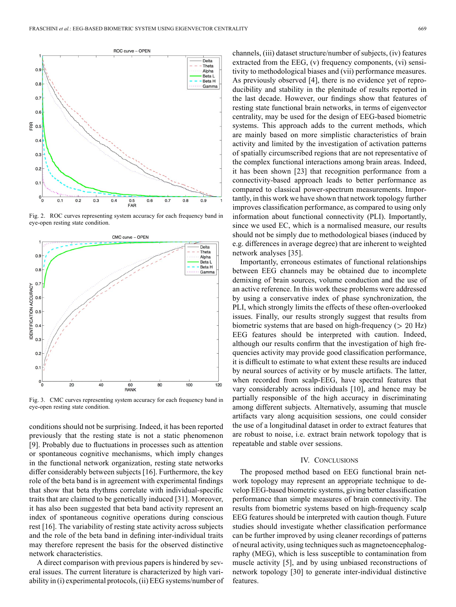

Fig. 2. ROC curves representing system accuracy for each frequency band in eye-open resting state condition.



Fig. 3. CMC curves representing system accuracy for each frequency band in eye-open resting state condition.

conditions should not be surprising. Indeed, it has been reported previously that the resting state is not a static phenomenon [9]. Probably due to fluctuations in processes such as attention or spontaneous cognitive mechanisms, which imply changes in the functional network organization, resting state networks differ considerably between subjects [16]. Furthermore, the key role of the beta band is in agreement with experimental findings that show that beta rhythms correlate with individual-specific traits that are claimed to be genetically induced [31]. Moreover, it has also been suggested that beta band activity represent an index of spontaneous cognitive operations during conscious rest [16]. The variability of resting state activity across subjects and the role of the beta band in defining inter-individual traits may therefore represent the basis for the observed distinctive network characteristics.

A direct comparison with previous papers is hindered by several issues. The current literature is characterized by high variability in (i) experimental protocols, (ii) EEG systems/number of channels, (iii) dataset structure/number of subjects, (iv) features extracted from the EEG, (v) frequency components, (vi) sensitivity to methodological biases and (vii) performance measures. As previously observed [4], there is no evidence yet of reproducibility and stability in the plenitude of results reported in the last decade. However, our findings show that features of resting state functional brain networks, in terms of eigenvector centrality, may be used for the design of EEG-based biometric systems. This approach adds to the current methods, which are mainly based on more simplistic characteristics of brain activity and limited by the investigation of activation patterns of spatially circumscribed regions that are not representative of the complex functional interactions among brain areas. Indeed, it has been shown [23] that recognition performance from a connectivity-based approach leads to better performance as compared to classical power-spectrum measurements. Importantly, in this work we have shown that network topology further improves classification performance, as compared to using only information about functional connectivity (PLI). Importantly, since we used EC, which is a normalised measure, our results should not be simply due to methodological biases (induced by e.g. differences in average degree) that are inherent to weighted network analyses [35].

Importantly, erroneous estimates of functional relationships between EEG channels may be obtained due to incomplete demixing of brain sources, volume conduction and the use of an active reference. In this work these problems were addressed by using a conservative index of phase synchronization, the PLI, which strongly limits the effects of these often-overlooked issues. Finally, our results strongly suggest that results from biometric systems that are based on high-frequency ( $> 20$  Hz) EEG features should be interpreted with caution. Indeed, although our results confirm that the investigation of high frequencies activity may provide good classification performance, it is difficult to estimate to what extent these results are induced by neural sources of activity or by muscle artifacts. The latter, when recorded from scalp-EEG, have spectral features that vary considerably across individuals [10], and hence may be partially responsible of the high accuracy in discriminating among different subjects. Alternatively, assuming that muscle artifacts vary along acquisition sessions, one could consider the use of a longitudinal dataset in order to extract features that are robust to noise, i.e. extract brain network topology that is repeatable and stable over sessions.

## IV. CONCLUSIONS

The proposed method based on EEG functional brain network topology may represent an appropriate technique to develop EEG-based biometric systems, giving better classification performance than simple measures of brain connectivity. The results from biometric systems based on high-frequency scalp EEG features should be interpreted with caution though. Future studies should investigate whether classification performance can be further improved by using cleaner recordings of patterns of neural activity, using techniques such as magnetoencephalography (MEG), which is less susceptible to contamination from muscle activity [5], and by using unbiased reconstructions of network topology [30] to generate inter-individual distinctive features.